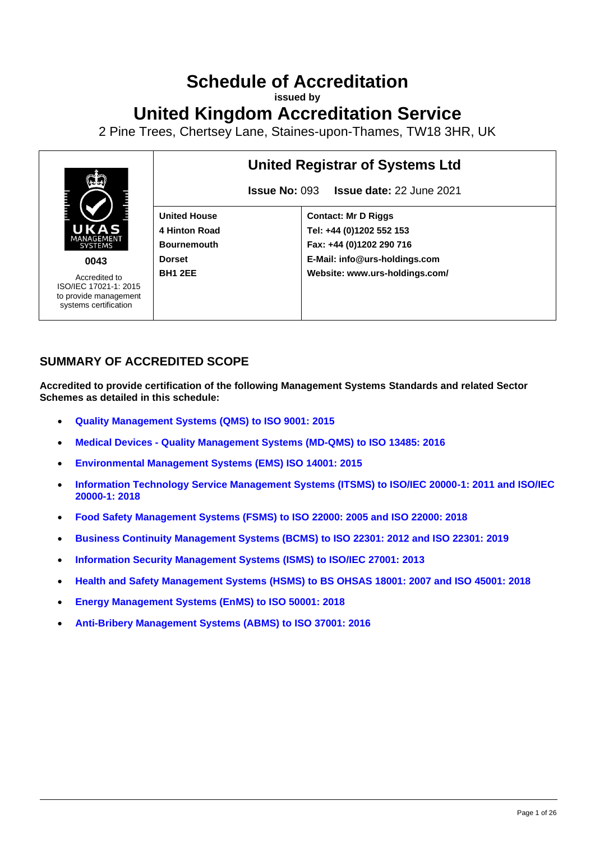# **Schedule of Accreditation**

**issued by**

# **United Kingdom Accreditation Service**

2 Pine Trees, Chertsey Lane, Staines-upon-Thames, TW18 3HR, UK



# **SUMMARY OF ACCREDITED SCOPE**

**Accredited to provide certification of the following Management Systems Standards and related Sector Schemes as detailed in this schedule:**

- **[Quality Management Systems](#page-2-0) (QMS) to ISO 9001: 2015**
- **Medical Devices - [Quality Management Systems](#page-6-0) (MD-QMS) to ISO 13485: 2016**
- **[Environmental Management Systems](#page-11-0) (EMS) ISO 14001: 2015**
- **[Information Technology Service Management Systems \(ITSMS\) to ISO/IEC 20000-1: 2011 and ISO/IEC](#page-14-0)  [20000-1: 2018](#page-14-0)**
- **[Food Safety Management Systems \(FSMS\) to ISO 22000: 2005 and ISO 22000: 2018](#page-15-0)**
- **[Business Continuity Management Systems \(BCMS\) to ISO 22301: 2012 and ISO 22301: 2019](#page-17-0)**
- **[Information Security Management Systems](#page-19-0) (ISMS) to ISO/IEC 27001: 2013**
- **[Health and Safety Management Systems](#page-20-0) (HSMS) to BS OHSAS 18001: 2007 and ISO 45001: 2018**
- **[Energy Management Systems \(EnMS\) to ISO 50001: 2018](#page-24-0)**
- **[Anti-Bribery Management Systems \(ABMS\)](#page-25-0) to ISO 37001: 2016**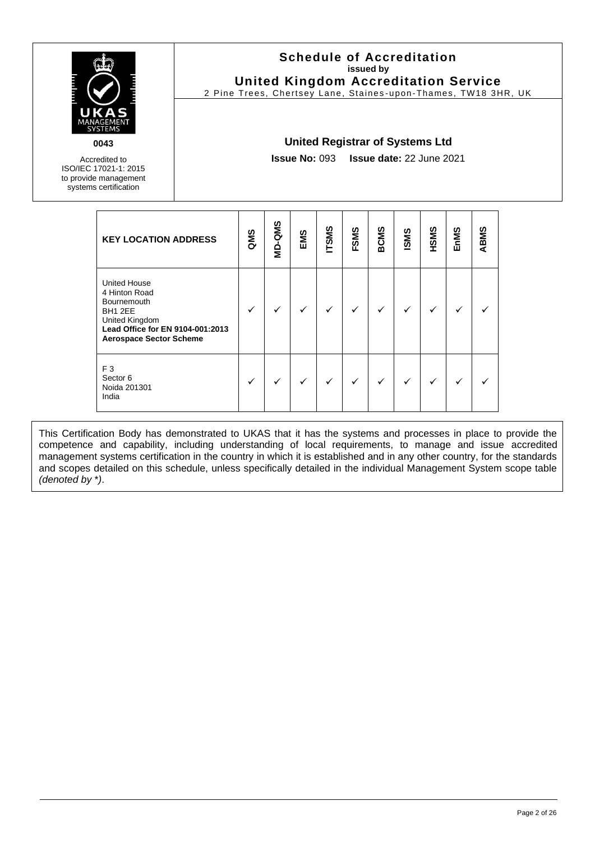

Accredited to ISO/IEC 17021-1: 2015 to provide management systems certification

#### **Schedule of Accreditation issued by United Kingdom Accreditation Service**

2 Pine Trees, Chertsey Lane, Staines -upon-Thames, TW18 3HR, UK

#### **United Registrar of Systems Ltd**

**Issue No:** 093 **Issue date:** 22 June 2021

| <b>KEY LOCATION ADDRESS</b>                                                                                                                                   | QMS | MD-QMS | EMS | <b>TSMS</b> | FSMS | <b>BCMS</b>  | <b>ISMS</b> | HSMS | EnMS | ABMS |
|---------------------------------------------------------------------------------------------------------------------------------------------------------------|-----|--------|-----|-------------|------|--------------|-------------|------|------|------|
| <b>United House</b><br>4 Hinton Road<br><b>Bournemouth</b><br>BH1 2EE<br>United Kingdom<br>Lead Office for EN 9104-001:2013<br><b>Aerospace Sector Scheme</b> | ✓   |        |     |             | ✓    | $\checkmark$ |             | ✓    |      |      |
| F <sub>3</sub><br>Sector <sub>6</sub><br>Noida 201301<br>India                                                                                                | ✓   |        |     |             | ✓    | ✓            |             |      |      |      |

This Certification Body has demonstrated to UKAS that it has the systems and processes in place to provide the competence and capability, including understanding of local requirements, to manage and issue accredited management systems certification in the country in which it is established and in any other country, for the standards and scopes detailed on this schedule, unless specifically detailed in the individual Management System scope table *(denoted by* \**)*.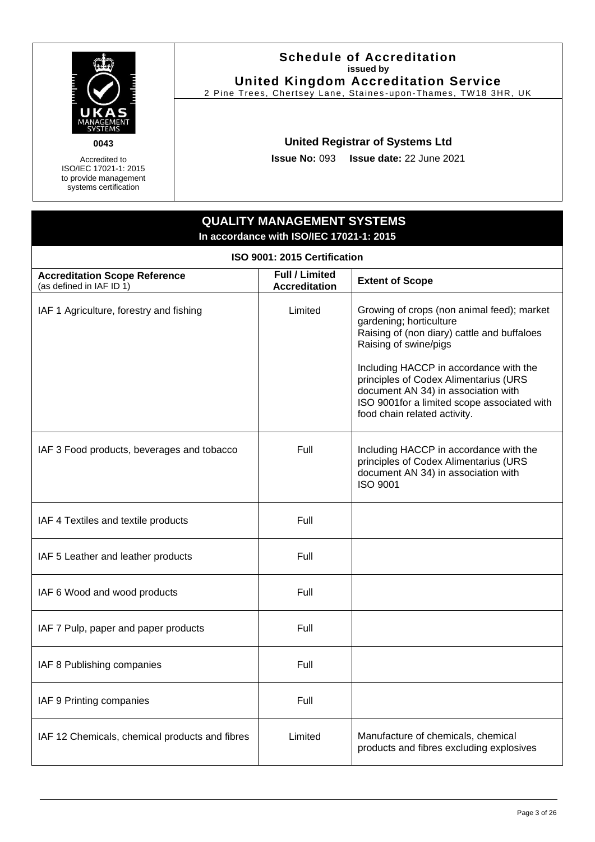

Accredited to ISO/IEC 17021-1: 2015 to provide management systems certification

#### **Schedule of Accreditation issued by United Kingdom Accreditation Service**

2 Pine Trees, Chertsey Lane, Staines -upon-Thames, TW18 3HR, UK

# **United Registrar of Systems Ltd**

**Issue No:** 093 **Issue date:** 22 June 2021

# **QUALITY MANAGEMENT SYSTEMS In accordance with ISO/IEC 17021-1: 2015**

<span id="page-2-0"></span>

| ISO 9001: 2015 Certification                                     |                                               |                                                                                                                                                                                                                                                                                                                                                        |  |  |  |
|------------------------------------------------------------------|-----------------------------------------------|--------------------------------------------------------------------------------------------------------------------------------------------------------------------------------------------------------------------------------------------------------------------------------------------------------------------------------------------------------|--|--|--|
| <b>Accreditation Scope Reference</b><br>(as defined in IAF ID 1) | <b>Full / Limited</b><br><b>Accreditation</b> | <b>Extent of Scope</b>                                                                                                                                                                                                                                                                                                                                 |  |  |  |
| IAF 1 Agriculture, forestry and fishing                          | Limited                                       | Growing of crops (non animal feed); market<br>gardening; horticulture<br>Raising of (non diary) cattle and buffaloes<br>Raising of swine/pigs<br>Including HACCP in accordance with the<br>principles of Codex Alimentarius (URS<br>document AN 34) in association with<br>ISO 9001for a limited scope associated with<br>food chain related activity. |  |  |  |
| IAF 3 Food products, beverages and tobacco                       | Full                                          | Including HACCP in accordance with the<br>principles of Codex Alimentarius (URS<br>document AN 34) in association with<br><b>ISO 9001</b>                                                                                                                                                                                                              |  |  |  |
| IAF 4 Textiles and textile products                              | Full                                          |                                                                                                                                                                                                                                                                                                                                                        |  |  |  |
| IAF 5 Leather and leather products                               | Full                                          |                                                                                                                                                                                                                                                                                                                                                        |  |  |  |
| IAF 6 Wood and wood products                                     | Full                                          |                                                                                                                                                                                                                                                                                                                                                        |  |  |  |
| IAF 7 Pulp, paper and paper products                             | Full                                          |                                                                                                                                                                                                                                                                                                                                                        |  |  |  |
| IAF 8 Publishing companies                                       | Full                                          |                                                                                                                                                                                                                                                                                                                                                        |  |  |  |
| IAF 9 Printing companies                                         | Full                                          |                                                                                                                                                                                                                                                                                                                                                        |  |  |  |
| IAF 12 Chemicals, chemical products and fibres                   | Limited                                       | Manufacture of chemicals, chemical<br>products and fibres excluding explosives                                                                                                                                                                                                                                                                         |  |  |  |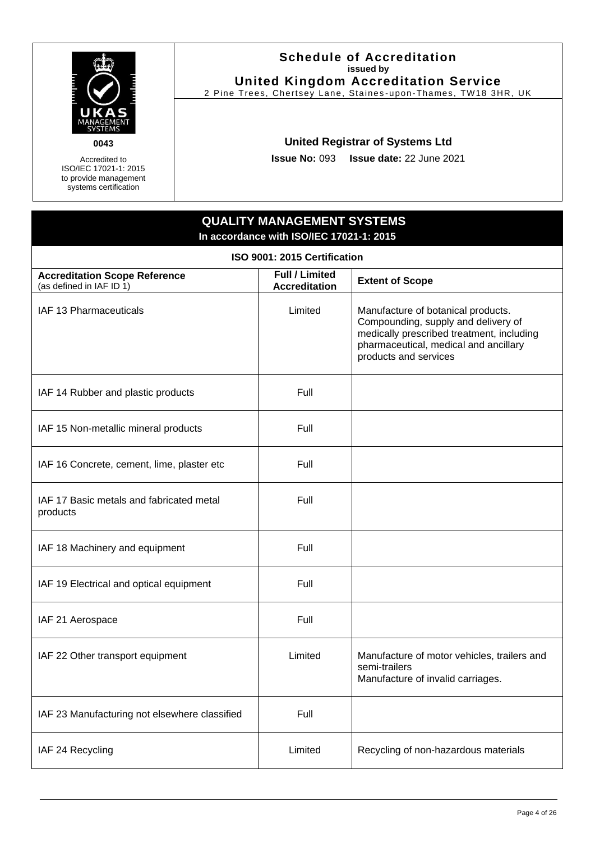

Accredited to ISO/IEC 17021-1: 2015 to provide management systems certification

#### **Schedule of Accreditation issued by United Kingdom Accreditation Service**

2 Pine Trees, Chertsey Lane, Staines -upon-Thames, TW18 3HR, UK

# **United Registrar of Systems Ltd**

**Issue No:** 093 **Issue date:** 22 June 2021

# **QUALITY MANAGEMENT SYSTEMS In accordance with ISO/IEC 17021-1: 2015**

| ISO 9001: 2015 Certification                                     |                                               |                                                                                                                                                                                          |  |  |
|------------------------------------------------------------------|-----------------------------------------------|------------------------------------------------------------------------------------------------------------------------------------------------------------------------------------------|--|--|
| <b>Accreditation Scope Reference</b><br>(as defined in IAF ID 1) | <b>Full / Limited</b><br><b>Accreditation</b> | <b>Extent of Scope</b>                                                                                                                                                                   |  |  |
| IAF 13 Pharmaceuticals                                           | Limited                                       | Manufacture of botanical products.<br>Compounding, supply and delivery of<br>medically prescribed treatment, including<br>pharmaceutical, medical and ancillary<br>products and services |  |  |
| IAF 14 Rubber and plastic products                               | Full                                          |                                                                                                                                                                                          |  |  |
| IAF 15 Non-metallic mineral products                             | Full                                          |                                                                                                                                                                                          |  |  |
| IAF 16 Concrete, cement, lime, plaster etc                       | Full                                          |                                                                                                                                                                                          |  |  |
| IAF 17 Basic metals and fabricated metal<br>products             | Full                                          |                                                                                                                                                                                          |  |  |
| IAF 18 Machinery and equipment                                   | Full                                          |                                                                                                                                                                                          |  |  |
| IAF 19 Electrical and optical equipment                          | Full                                          |                                                                                                                                                                                          |  |  |
| IAF 21 Aerospace                                                 | Full                                          |                                                                                                                                                                                          |  |  |
| IAF 22 Other transport equipment                                 | Limited                                       | Manufacture of motor vehicles, trailers and<br>semi-trailers<br>Manufacture of invalid carriages.                                                                                        |  |  |
| IAF 23 Manufacturing not elsewhere classified                    | Full                                          |                                                                                                                                                                                          |  |  |
| IAF 24 Recycling                                                 | Limited                                       | Recycling of non-hazardous materials                                                                                                                                                     |  |  |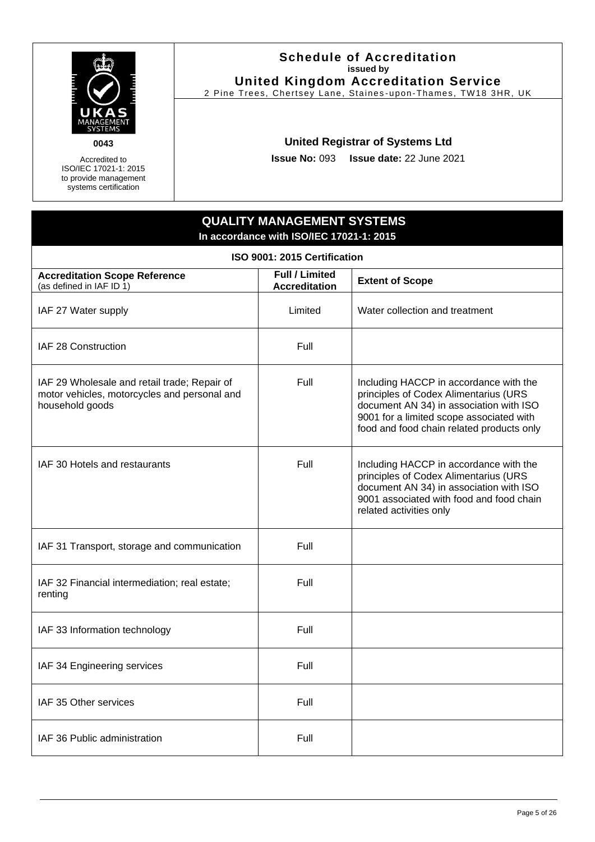

Accredited to ISO/IEC 17021-1: 2015 to provide management systems certification

#### **Schedule of Accreditation issued by United Kingdom Accreditation Service**

2 Pine Trees, Chertsey Lane, Staines -upon-Thames, TW18 3HR, UK

# **United Registrar of Systems Ltd**

**Issue No:** 093 **Issue date:** 22 June 2021

# **QUALITY MANAGEMENT SYSTEMS In accordance with ISO/IEC 17021-1: 2015**

| ISO 9001: 2015 Certification                                                                                    |                                               |                                                                                                                                                                                                                     |  |  |
|-----------------------------------------------------------------------------------------------------------------|-----------------------------------------------|---------------------------------------------------------------------------------------------------------------------------------------------------------------------------------------------------------------------|--|--|
| <b>Accreditation Scope Reference</b><br>(as defined in IAF ID 1)                                                | <b>Full / Limited</b><br><b>Accreditation</b> | <b>Extent of Scope</b>                                                                                                                                                                                              |  |  |
| IAF 27 Water supply                                                                                             | Limited                                       | Water collection and treatment                                                                                                                                                                                      |  |  |
| IAF 28 Construction                                                                                             | Full                                          |                                                                                                                                                                                                                     |  |  |
| IAF 29 Wholesale and retail trade; Repair of<br>motor vehicles, motorcycles and personal and<br>household goods | Full                                          | Including HACCP in accordance with the<br>principles of Codex Alimentarius (URS<br>document AN 34) in association with ISO<br>9001 for a limited scope associated with<br>food and food chain related products only |  |  |
| IAF 30 Hotels and restaurants                                                                                   | Full                                          | Including HACCP in accordance with the<br>principles of Codex Alimentarius (URS<br>document AN 34) in association with ISO<br>9001 associated with food and food chain<br>related activities only                   |  |  |
| IAF 31 Transport, storage and communication                                                                     | Full                                          |                                                                                                                                                                                                                     |  |  |
| IAF 32 Financial intermediation; real estate;<br>renting                                                        | Full                                          |                                                                                                                                                                                                                     |  |  |
| IAF 33 Information technology                                                                                   | Full                                          |                                                                                                                                                                                                                     |  |  |
| IAF 34 Engineering services                                                                                     | Full                                          |                                                                                                                                                                                                                     |  |  |
| IAF 35 Other services                                                                                           | Full                                          |                                                                                                                                                                                                                     |  |  |
| IAF 36 Public administration                                                                                    | Full                                          |                                                                                                                                                                                                                     |  |  |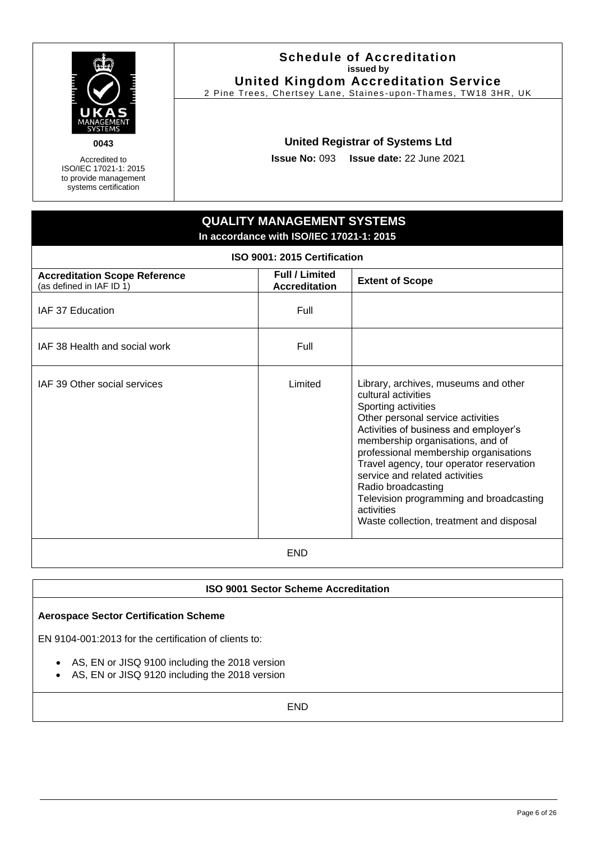

Accredited to ISO/IEC 17021-1: 2015 to provide management systems certification

#### **Schedule of Accreditation issued by United Kingdom Accreditation Service**

2 Pine Trees, Chertsey Lane, Staines -upon-Thames, TW18 3HR, UK

# **United Registrar of Systems Ltd**

**Issue No:** 093 **Issue date:** 22 June 2021

# **QUALITY MANAGEMENT SYSTEMS In accordance with ISO/IEC 17021-1: 2015**

| ISO 9001: 2015 Certification                                     |                                               |                                                                                                                                                                                                                                                                                                                                                                                                                                                        |  |  |
|------------------------------------------------------------------|-----------------------------------------------|--------------------------------------------------------------------------------------------------------------------------------------------------------------------------------------------------------------------------------------------------------------------------------------------------------------------------------------------------------------------------------------------------------------------------------------------------------|--|--|
| <b>Accreditation Scope Reference</b><br>(as defined in IAF ID 1) | <b>Full / Limited</b><br><b>Accreditation</b> | <b>Extent of Scope</b>                                                                                                                                                                                                                                                                                                                                                                                                                                 |  |  |
| IAF 37 Education                                                 | Full                                          |                                                                                                                                                                                                                                                                                                                                                                                                                                                        |  |  |
| IAF 38 Health and social work                                    | Full                                          |                                                                                                                                                                                                                                                                                                                                                                                                                                                        |  |  |
| IAF 39 Other social services                                     | Limited                                       | Library, archives, museums and other<br>cultural activities<br>Sporting activities<br>Other personal service activities<br>Activities of business and employer's<br>membership organisations, and of<br>professional membership organisations<br>Travel agency, tour operator reservation<br>service and related activities<br>Radio broadcasting<br>Television programming and broadcasting<br>activities<br>Waste collection, treatment and disposal |  |  |
| <b>END</b>                                                       |                                               |                                                                                                                                                                                                                                                                                                                                                                                                                                                        |  |  |

END

#### **ISO 9001 Sector Scheme Accreditation**

#### **Aerospace Sector Certification Scheme**

EN 9104-001:2013 for the certification of clients to:

- AS, EN or JISQ 9100 including the 2018 version
- AS, EN or JISQ 9120 including the 2018 version

END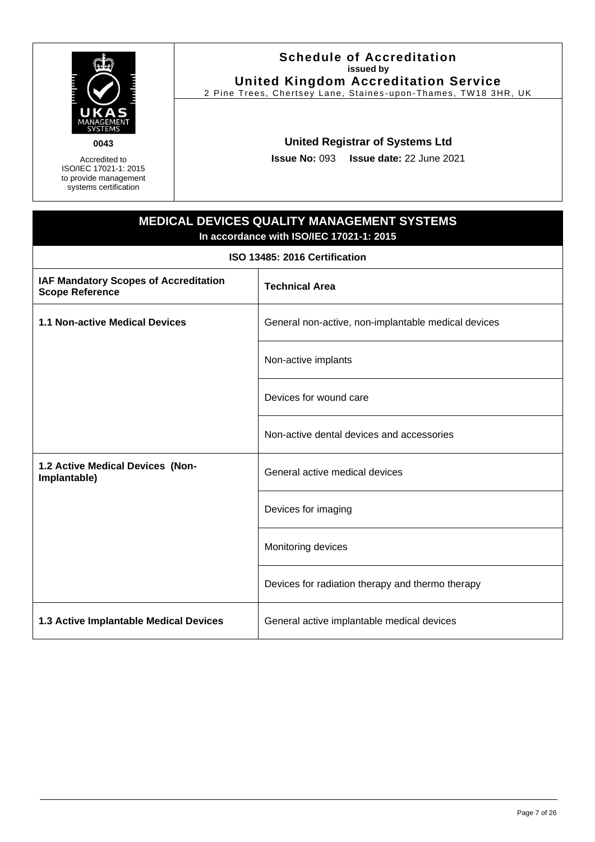| <b>FIRTH PIPER</b> |                |  |
|--------------------|----------------|--|
|                    | ANAGEMENT      |  |
|                    | <b>SYSTEMS</b> |  |

Accredited to ISO/IEC 17021-1: 2015 to provide management systems certification

#### **Schedule of Accreditation issued by United Kingdom Accreditation Service**

2 Pine Trees, Chertsey Lane, Staines -upon-Thames, TW18 3HR, UK

# **United Registrar of Systems Ltd**

**Issue No:** 093 **Issue date:** 22 June 2021

# **MEDICAL DEVICES QUALITY MANAGEMENT SYSTEMS In accordance with ISO/IEC 17021-1: 2015**

**ISO 13485: 2016 Certification**

<span id="page-6-0"></span>

| IAF Mandatory Scopes of Accreditation<br><b>Scope Reference</b> | <b>Technical Area</b>                               |
|-----------------------------------------------------------------|-----------------------------------------------------|
| <b>1.1 Non-active Medical Devices</b>                           | General non-active, non-implantable medical devices |
|                                                                 | Non-active implants                                 |
|                                                                 | Devices for wound care                              |
|                                                                 | Non-active dental devices and accessories           |
| 1.2 Active Medical Devices (Non-<br>Implantable)                | General active medical devices                      |
|                                                                 | Devices for imaging                                 |
|                                                                 | Monitoring devices                                  |
|                                                                 | Devices for radiation therapy and thermo therapy    |
| 1.3 Active Implantable Medical Devices                          | General active implantable medical devices          |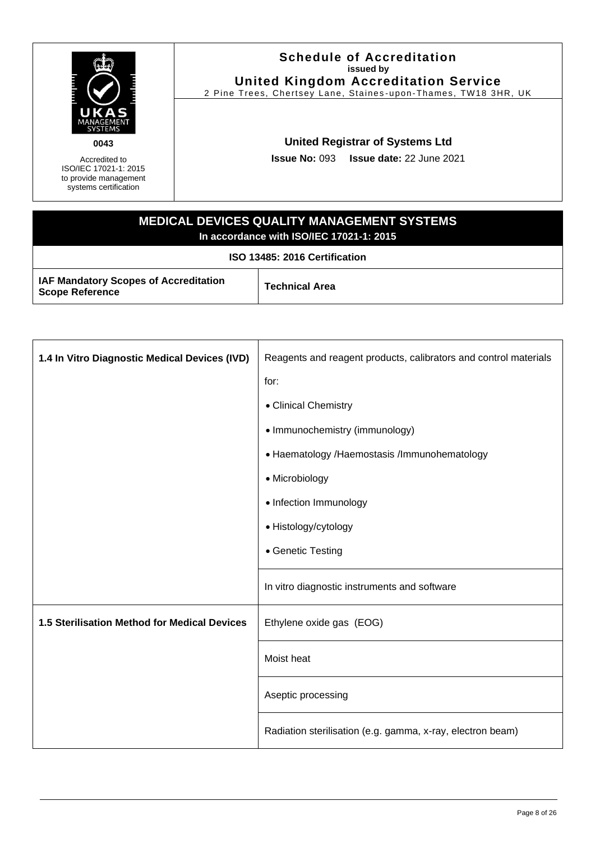

Accredited to ISO/IEC 17021-1: 2015 to provide management systems certification

#### **Schedule of Accreditation issued by United Kingdom Accreditation Service**

2 Pine Trees, Chertsey Lane, Staines -upon-Thames, TW18 3HR, UK

# **United Registrar of Systems Ltd**

**Issue No:** 093 **Issue date:** 22 June 2021

# **MEDICAL DEVICES QUALITY MANAGEMENT SYSTEMS In accordance with ISO/IEC 17021-1: 2015**

**ISO 13485: 2016 Certification**

**IAF Mandatory Scopes of Accreditation IAF Mandatory Scopes or Accreditation**<br>Scope Reference

| 1.4 In Vitro Diagnostic Medical Devices (IVD) | Reagents and reagent products, calibrators and control materials |  |
|-----------------------------------------------|------------------------------------------------------------------|--|
|                                               | for:                                                             |  |
|                                               | • Clinical Chemistry                                             |  |
|                                               | • Immunochemistry (immunology)                                   |  |
|                                               | • Haematology / Haemostasis / Immunohematology                   |  |
|                                               | • Microbiology                                                   |  |
|                                               | • Infection Immunology                                           |  |
|                                               | • Histology/cytology                                             |  |
|                                               | • Genetic Testing                                                |  |
|                                               | In vitro diagnostic instruments and software                     |  |
| 1.5 Sterilisation Method for Medical Devices  | Ethylene oxide gas (EOG)                                         |  |
|                                               | Moist heat                                                       |  |
|                                               | Aseptic processing                                               |  |
|                                               | Radiation sterilisation (e.g. gamma, x-ray, electron beam)       |  |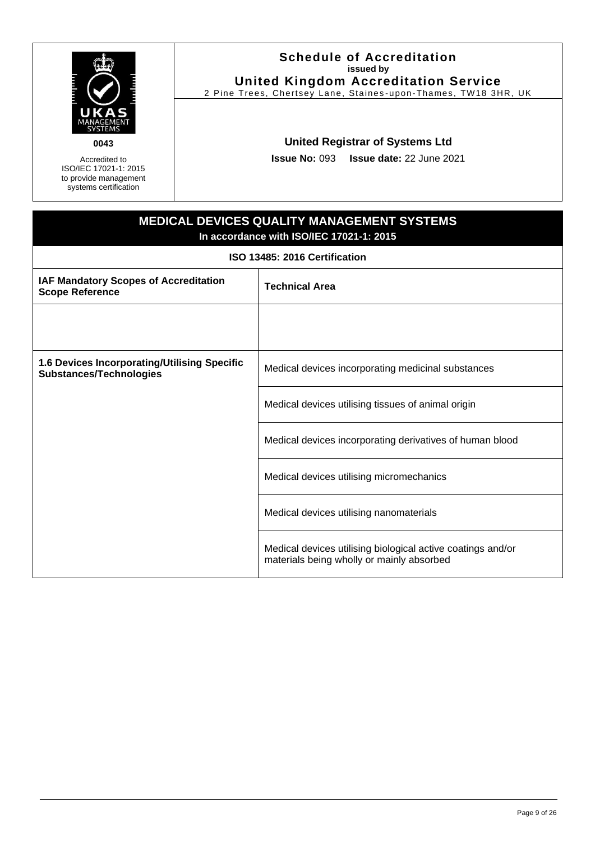

Accredited to ISO/IEC 17021-1: 2015 to provide management systems certification

#### **Schedule of Accreditation issued by United Kingdom Accreditation Service**

2 Pine Trees, Chertsey Lane, Staines -upon-Thames, TW18 3HR, UK

# **United Registrar of Systems Ltd**

**Issue No:** 093 **Issue date:** 22 June 2021

# **MEDICAL DEVICES QUALITY MANAGEMENT SYSTEMS In accordance with ISO/IEC 17021-1: 2015 ISO 13485: 2016 Certification IAF Mandatory Scopes of Accreditation Scope Reference COVER ACCREMINATION Technical Area 1.6 Devices Incorporating/Utilising Specific Substances/Technologies** Medical devices incorporating medicinal substances Medical devices utilising tissues of animal origin Medical devices incorporating derivatives of human blood Medical devices utilising micromechanics Medical devices utilising nanomaterials Medical devices utilising biological active coatings and/or materials being wholly or mainly absorbed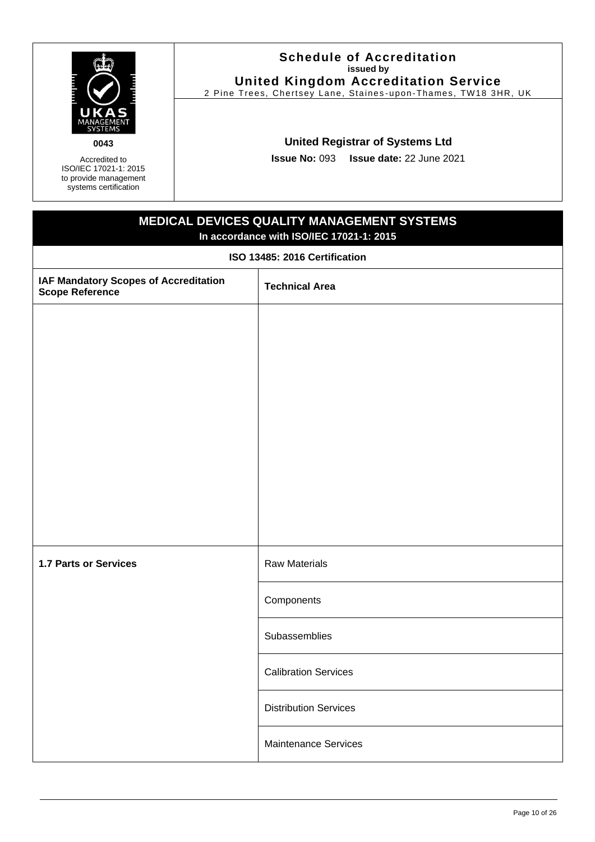| <b>FIRTH PIPER</b> |                |  |
|--------------------|----------------|--|
|                    | ANAGEMENT      |  |
|                    | <b>SYSTEMS</b> |  |

Accredited to ISO/IEC 17021-1: 2015 to provide management systems certification

#### **Schedule of Accreditation issued by United Kingdom Accreditation Service**

2 Pine Trees, Chertsey Lane, Staines -upon-Thames, TW18 3HR, UK

# **United Registrar of Systems Ltd**

**Issue No:** 093 **Issue date:** 22 June 2021

# **MEDICAL DEVICES QUALITY MANAGEMENT SYSTEMS In accordance with ISO/IEC 17021-1: 2015 ISO 13485: 2016 Certification IAF Mandatory Scopes of Accreditation IAF Mandatory Scopes or Accreditation**<br>Scope Reference **1.7 Parts or Services Raw Materials Components Subassemblies** Calibration Services Distribution Services Maintenance Services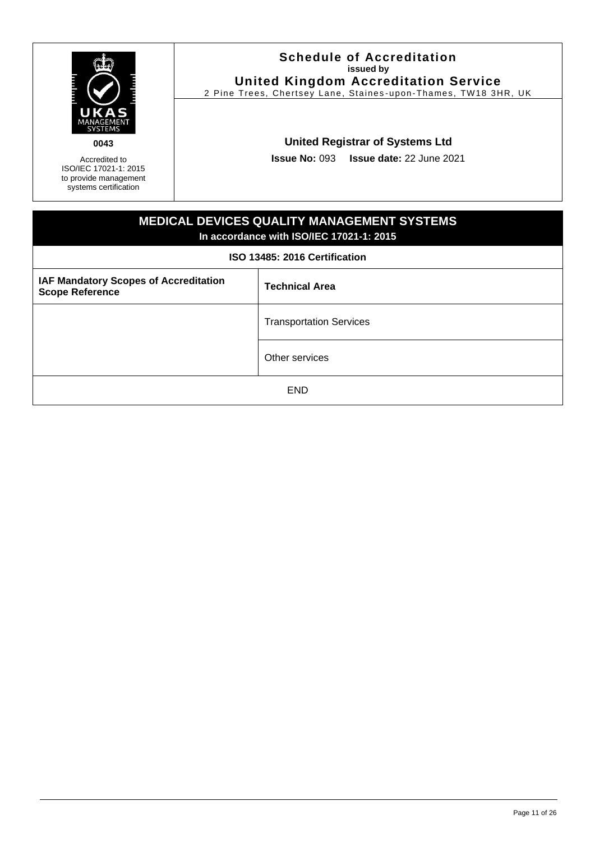| i<br>Humani    |  |
|----------------|--|
| ANAGEMENT      |  |
| <b>SYSTEMS</b> |  |

Accredited to ISO/IEC 17021-1: 2015 to provide management systems certification

#### **Schedule of Accreditation issued by United Kingdom Accreditation Service**

2 Pine Trees, Chertsey Lane, Staines -upon-Thames, TW18 3HR, UK

# **United Registrar of Systems Ltd**

**Issue No:** 093 **Issue date:** 22 June 2021

# **MEDICAL DEVICES QUALITY MANAGEMENT SYSTEMS In accordance with ISO/IEC 17021-1: 2015 ISO 13485: 2016 Certification IAF Mandatory Scopes of Accreditation IAF Mandatory Scopes or Accreditation**<br>Scope Reference Transportation Services Other services END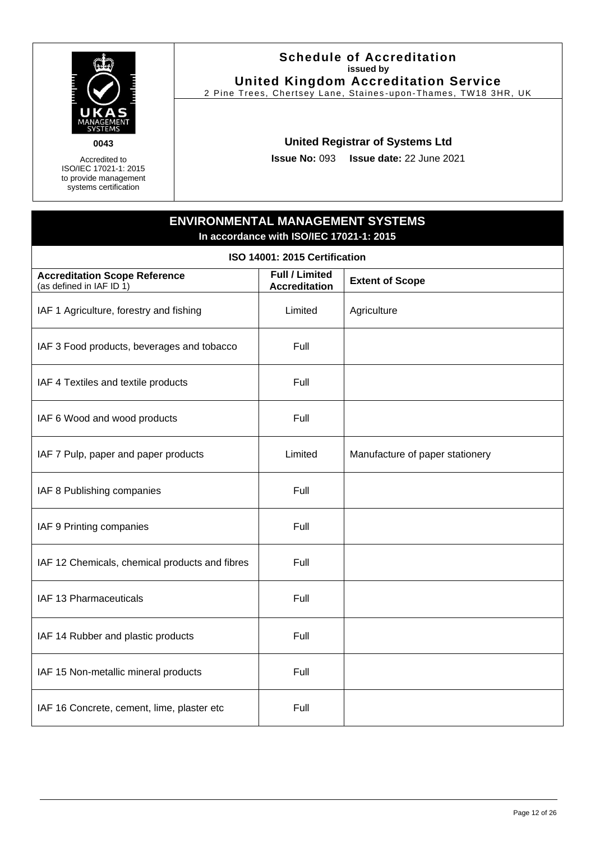

Accredited to ISO/IEC 17021-1: 2015 to provide management systems certification

#### **Schedule of Accreditation issued by United Kingdom Accreditation Service**

2 Pine Trees, Chertsey Lane, Staines -upon-Thames, TW18 3HR, UK

# **United Registrar of Systems Ltd**

**Issue No:** 093 **Issue date:** 22 June 2021

# **ENVIRONMENTAL MANAGEMENT SYSTEMS In accordance with ISO/IEC 17021-1: 2015**

<span id="page-11-0"></span>

| ISO 14001: 2015 Certification                                    |                                               |                                 |  |  |
|------------------------------------------------------------------|-----------------------------------------------|---------------------------------|--|--|
| <b>Accreditation Scope Reference</b><br>(as defined in IAF ID 1) | <b>Full / Limited</b><br><b>Accreditation</b> | <b>Extent of Scope</b>          |  |  |
| IAF 1 Agriculture, forestry and fishing                          | Limited                                       | Agriculture                     |  |  |
| IAF 3 Food products, beverages and tobacco                       | Full                                          |                                 |  |  |
| IAF 4 Textiles and textile products                              | Full                                          |                                 |  |  |
| IAF 6 Wood and wood products                                     | Full                                          |                                 |  |  |
| IAF 7 Pulp, paper and paper products                             | Limited                                       | Manufacture of paper stationery |  |  |
| IAF 8 Publishing companies                                       | Full                                          |                                 |  |  |
| IAF 9 Printing companies                                         | Full                                          |                                 |  |  |
| IAF 12 Chemicals, chemical products and fibres                   | Full                                          |                                 |  |  |
| IAF 13 Pharmaceuticals                                           | Full                                          |                                 |  |  |
| IAF 14 Rubber and plastic products                               | Full                                          |                                 |  |  |
| IAF 15 Non-metallic mineral products                             | Full                                          |                                 |  |  |
| IAF 16 Concrete, cement, lime, plaster etc                       | Full                                          |                                 |  |  |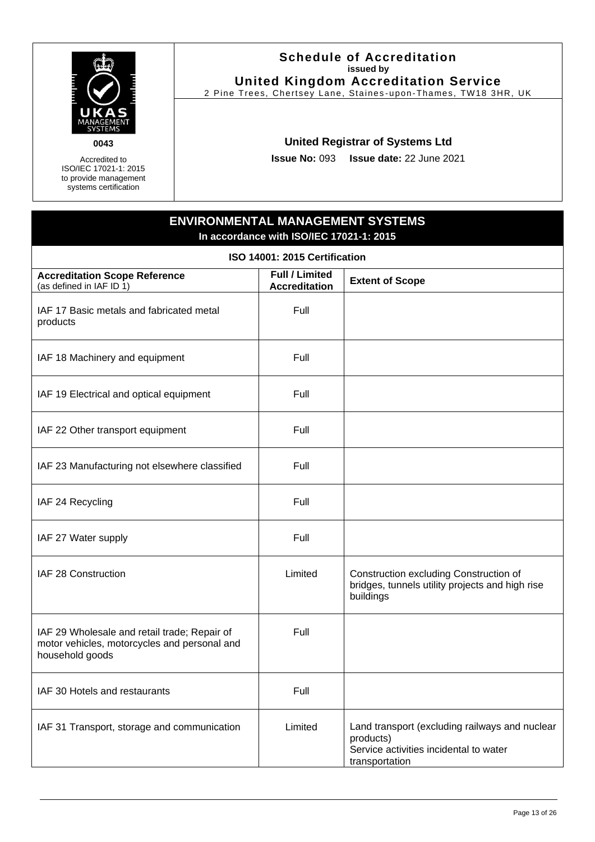

Accredited to ISO/IEC 17021-1: 2015 to provide management systems certification

#### **Schedule of Accreditation issued by United Kingdom Accreditation Service**

2 Pine Trees, Chertsey Lane, Staines -upon-Thames, TW18 3HR, UK

# **United Registrar of Systems Ltd**

**Issue No:** 093 **Issue date:** 22 June 2021

# **ENVIRONMENTAL MANAGEMENT SYSTEMS In accordance with ISO/IEC 17021-1: 2015**

| ISO 14001: 2015 Certification                                                                                   |                                               |                                                                                                                         |  |  |
|-----------------------------------------------------------------------------------------------------------------|-----------------------------------------------|-------------------------------------------------------------------------------------------------------------------------|--|--|
| <b>Accreditation Scope Reference</b><br>(as defined in IAF ID 1)                                                | <b>Full / Limited</b><br><b>Accreditation</b> | <b>Extent of Scope</b>                                                                                                  |  |  |
| IAF 17 Basic metals and fabricated metal<br>products                                                            | Full                                          |                                                                                                                         |  |  |
| IAF 18 Machinery and equipment                                                                                  | Full                                          |                                                                                                                         |  |  |
| IAF 19 Electrical and optical equipment                                                                         | Full                                          |                                                                                                                         |  |  |
| IAF 22 Other transport equipment                                                                                | Full                                          |                                                                                                                         |  |  |
| IAF 23 Manufacturing not elsewhere classified                                                                   | Full                                          |                                                                                                                         |  |  |
| IAF 24 Recycling                                                                                                | Full                                          |                                                                                                                         |  |  |
| IAF 27 Water supply                                                                                             | Full                                          |                                                                                                                         |  |  |
| IAF 28 Construction                                                                                             | Limited                                       | Construction excluding Construction of<br>bridges, tunnels utility projects and high rise<br>buildings                  |  |  |
| IAF 29 Wholesale and retail trade; Repair of<br>motor vehicles, motorcycles and personal and<br>household goods | Full                                          |                                                                                                                         |  |  |
| IAF 30 Hotels and restaurants                                                                                   | Full                                          |                                                                                                                         |  |  |
| IAF 31 Transport, storage and communication                                                                     | Limited                                       | Land transport (excluding railways and nuclear<br>products)<br>Service activities incidental to water<br>transportation |  |  |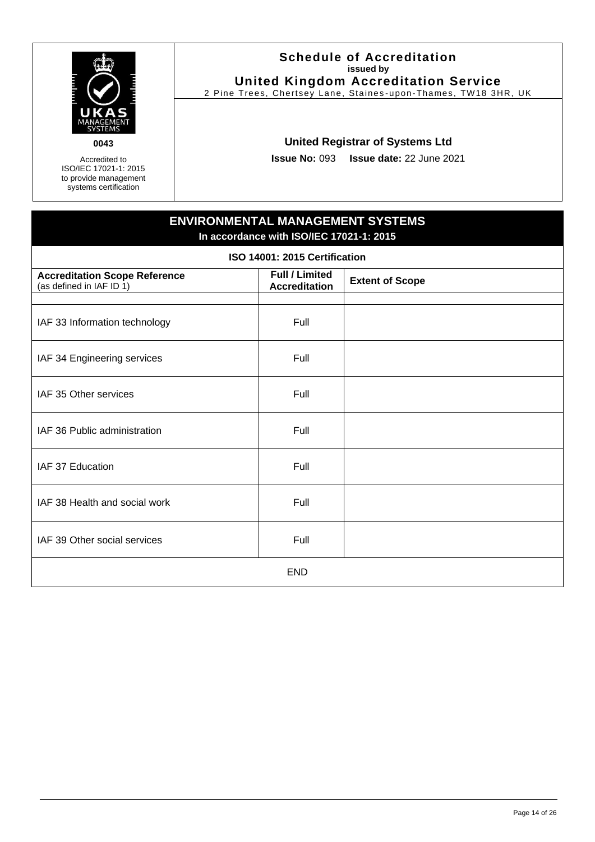

Accredited to ISO/IEC 17021-1: 2015 to provide management systems certification

#### **Schedule of Accreditation issued by United Kingdom Accreditation Service**

2 Pine Trees, Chertsey Lane, Staines -upon-Thames, TW18 3HR, UK

# **United Registrar of Systems Ltd**

**Issue No:** 093 **Issue date:** 22 June 2021

# **ENVIRONMENTAL MANAGEMENT SYSTEMS In accordance with ISO/IEC 17021-1: 2015**

| ISO 14001: 2015 Certification                                    |                                               |                        |
|------------------------------------------------------------------|-----------------------------------------------|------------------------|
| <b>Accreditation Scope Reference</b><br>(as defined in IAF ID 1) | <b>Full / Limited</b><br><b>Accreditation</b> | <b>Extent of Scope</b> |
|                                                                  |                                               |                        |
| IAF 33 Information technology                                    | Full                                          |                        |
| IAF 34 Engineering services                                      | Full                                          |                        |
| IAF 35 Other services                                            | Full                                          |                        |
| IAF 36 Public administration                                     | Full                                          |                        |
| IAF 37 Education                                                 | Full                                          |                        |
| IAF 38 Health and social work                                    | Full                                          |                        |
| IAF 39 Other social services                                     | Full                                          |                        |
| <b>END</b>                                                       |                                               |                        |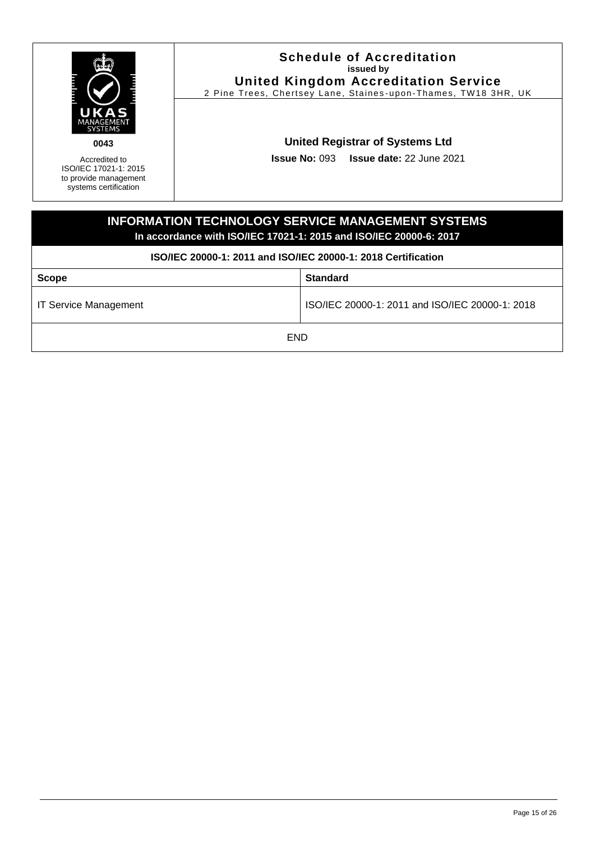<span id="page-14-0"></span>

| UKAS<br>0043<br>Accredited to<br>ISO/IEC 17021-1: 2015<br>to provide management<br>systems certification                       |  | <b>Schedule of Accreditation</b><br>issued by<br><b>United Kingdom Accreditation Service</b><br>2 Pine Trees, Chertsey Lane, Staines-upon-Thames, TW18 3HR, UK<br><b>United Registrar of Systems Ltd</b><br><b>Issue No: 093 Issue date: 22 June 2021</b> |
|--------------------------------------------------------------------------------------------------------------------------------|--|-----------------------------------------------------------------------------------------------------------------------------------------------------------------------------------------------------------------------------------------------------------|
| <b>INFORMATION TECHNOLOGY SERVICE MANAGEMENT SYSTEMS</b><br>In accordance with ISO/IEC 17021-1: 2015 and ISO/IEC 20000-6: 2017 |  |                                                                                                                                                                                                                                                           |
| ISO/IEC 20000-1: 2011 and ISO/IEC 20000-1: 2018 Certification                                                                  |  |                                                                                                                                                                                                                                                           |
| <b>Scope</b>                                                                                                                   |  | <b>Standard</b>                                                                                                                                                                                                                                           |
| <b>IT Service Management</b>                                                                                                   |  | ISO/IEC 20000-1: 2011 and ISO/IEC 20000-1: 2018                                                                                                                                                                                                           |
| END                                                                                                                            |  |                                                                                                                                                                                                                                                           |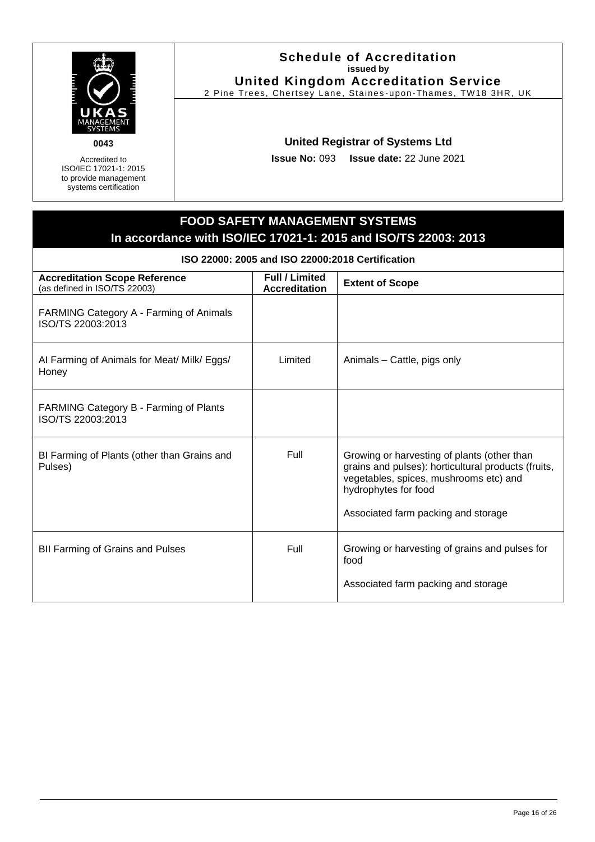

Accredited to ISO/IEC 17021-1: 2015 to provide management systems certification

#### **Schedule of Accreditation issued by United Kingdom Accreditation Service**

2 Pine Trees, Chertsey Lane, Staines -upon-Thames, TW18 3HR, UK

# **United Registrar of Systems Ltd**

**Issue No:** 093 **Issue date:** 22 June 2021

# **FOOD SAFETY MANAGEMENT SYSTEMS In accordance with ISO/IEC 17021-1: 2015 and ISO/TS 22003: 2013**

**ISO 22000: 2005 and ISO 22000:2018 Certification**

<span id="page-15-0"></span>

| <b>Accreditation Scope Reference</b><br>(as defined in ISO/TS 22003) | <b>Full / Limited</b><br><b>Accreditation</b> | <b>Extent of Scope</b>                                                                                                                                                                                      |
|----------------------------------------------------------------------|-----------------------------------------------|-------------------------------------------------------------------------------------------------------------------------------------------------------------------------------------------------------------|
| FARMING Category A - Farming of Animals<br>ISO/TS 22003:2013         |                                               |                                                                                                                                                                                                             |
| AI Farming of Animals for Meat/ Milk/ Eggs/<br>Honey                 | Limited                                       | Animals - Cattle, pigs only                                                                                                                                                                                 |
| FARMING Category B - Farming of Plants<br>ISO/TS 22003:2013          |                                               |                                                                                                                                                                                                             |
| BI Farming of Plants (other than Grains and<br>Pulses)               | <b>Full</b>                                   | Growing or harvesting of plants (other than<br>grains and pulses): horticultural products (fruits,<br>vegetables, spices, mushrooms etc) and<br>hydrophytes for food<br>Associated farm packing and storage |
| <b>BII Farming of Grains and Pulses</b>                              | Full                                          | Growing or harvesting of grains and pulses for<br>food<br>Associated farm packing and storage                                                                                                               |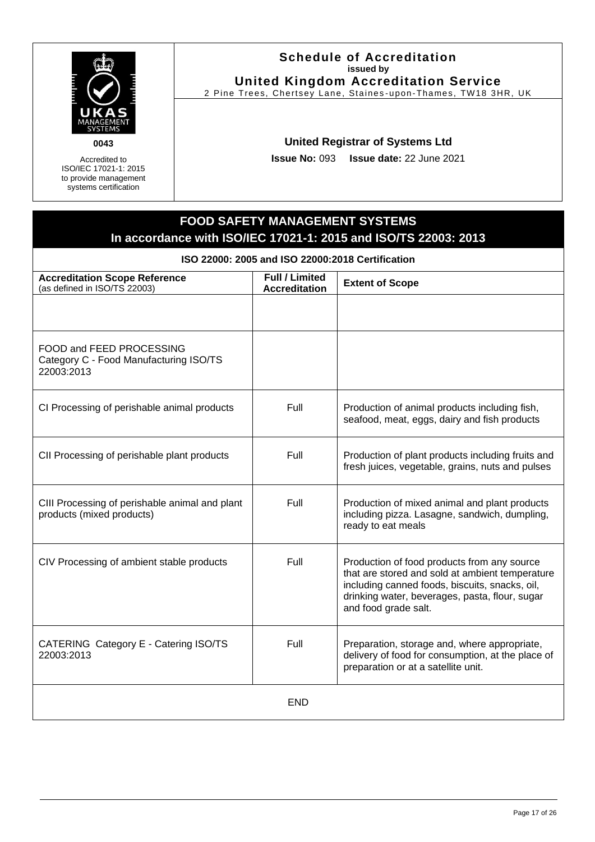

Accredited to ISO/IEC 17021-1: 2015 to provide management systems certification

#### **Schedule of Accreditation issued by United Kingdom Accreditation Service**

2 Pine Trees, Chertsey Lane, Staines -upon-Thames, TW18 3HR, UK

# **United Registrar of Systems Ltd**

**Issue No:** 093 **Issue date:** 22 June 2021

# **FOOD SAFETY MANAGEMENT SYSTEMS In accordance with ISO/IEC 17021-1: 2015 and ISO/TS 22003: 2013**

**ISO 22000: 2005 and ISO 22000:2018 Certification**

| <b>Accreditation Scope Reference</b><br>(as defined in ISO/TS 22003)             | Full / Limited<br><b>Accreditation</b> | <b>Extent of Scope</b>                                                                                                                                                                                                     |
|----------------------------------------------------------------------------------|----------------------------------------|----------------------------------------------------------------------------------------------------------------------------------------------------------------------------------------------------------------------------|
|                                                                                  |                                        |                                                                                                                                                                                                                            |
| FOOD and FEED PROCESSING<br>Category C - Food Manufacturing ISO/TS<br>22003:2013 |                                        |                                                                                                                                                                                                                            |
| CI Processing of perishable animal products                                      | Full                                   | Production of animal products including fish,<br>seafood, meat, eggs, dairy and fish products                                                                                                                              |
| CII Processing of perishable plant products                                      | Full                                   | Production of plant products including fruits and<br>fresh juices, vegetable, grains, nuts and pulses                                                                                                                      |
| CIII Processing of perishable animal and plant<br>products (mixed products)      | Full                                   | Production of mixed animal and plant products<br>including pizza. Lasagne, sandwich, dumpling,<br>ready to eat meals                                                                                                       |
| CIV Processing of ambient stable products                                        | Full                                   | Production of food products from any source<br>that are stored and sold at ambient temperature<br>including canned foods, biscuits, snacks, oil,<br>drinking water, beverages, pasta, flour, sugar<br>and food grade salt. |
| CATERING Category E - Catering ISO/TS<br>22003:2013                              | Full                                   | Preparation, storage and, where appropriate,<br>delivery of food for consumption, at the place of<br>preparation or at a satellite unit.                                                                                   |
|                                                                                  | <b>END</b>                             |                                                                                                                                                                                                                            |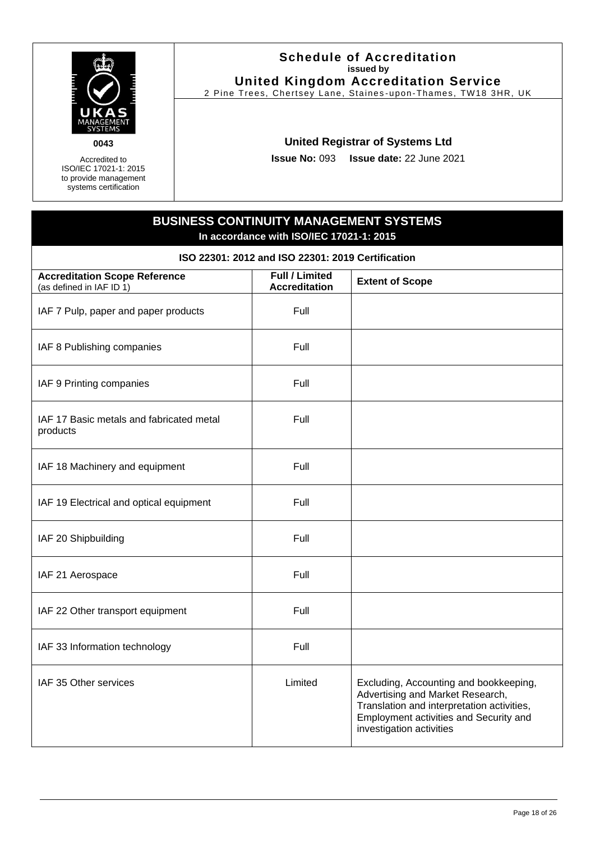

Accredited to ISO/IEC 17021-1: 2015 to provide management systems certification

#### **Schedule of Accreditation issued by United Kingdom Accreditation Service**

2 Pine Trees, Chertsey Lane, Staines -upon-Thames, TW18 3HR, UK

# **United Registrar of Systems Ltd**

**Issue No:** 093 **Issue date:** 22 June 2021

# **BUSINESS CONTINUITY MANAGEMENT SYSTEMS In accordance with ISO/IEC 17021-1: 2015**

**ISO 22301: 2012 and ISO 22301: 2019 Certification**

<span id="page-17-0"></span>

| <b>Accreditation Scope Reference</b><br>(as defined in IAF ID 1) | <b>Full / Limited</b><br><b>Accreditation</b> | <b>Extent of Scope</b>                                                                                                                                                                         |
|------------------------------------------------------------------|-----------------------------------------------|------------------------------------------------------------------------------------------------------------------------------------------------------------------------------------------------|
| IAF 7 Pulp, paper and paper products                             | Full                                          |                                                                                                                                                                                                |
| IAF 8 Publishing companies                                       | Full                                          |                                                                                                                                                                                                |
| IAF 9 Printing companies                                         | Full                                          |                                                                                                                                                                                                |
| IAF 17 Basic metals and fabricated metal<br>products             | Full                                          |                                                                                                                                                                                                |
| IAF 18 Machinery and equipment                                   | Full                                          |                                                                                                                                                                                                |
| IAF 19 Electrical and optical equipment                          | Full                                          |                                                                                                                                                                                                |
| IAF 20 Shipbuilding                                              | Full                                          |                                                                                                                                                                                                |
| IAF 21 Aerospace                                                 | Full                                          |                                                                                                                                                                                                |
| IAF 22 Other transport equipment                                 | Full                                          |                                                                                                                                                                                                |
| IAF 33 Information technology                                    | Full                                          |                                                                                                                                                                                                |
| IAF 35 Other services                                            | Limited                                       | Excluding, Accounting and bookkeeping,<br>Advertising and Market Research,<br>Translation and interpretation activities,<br>Employment activities and Security and<br>investigation activities |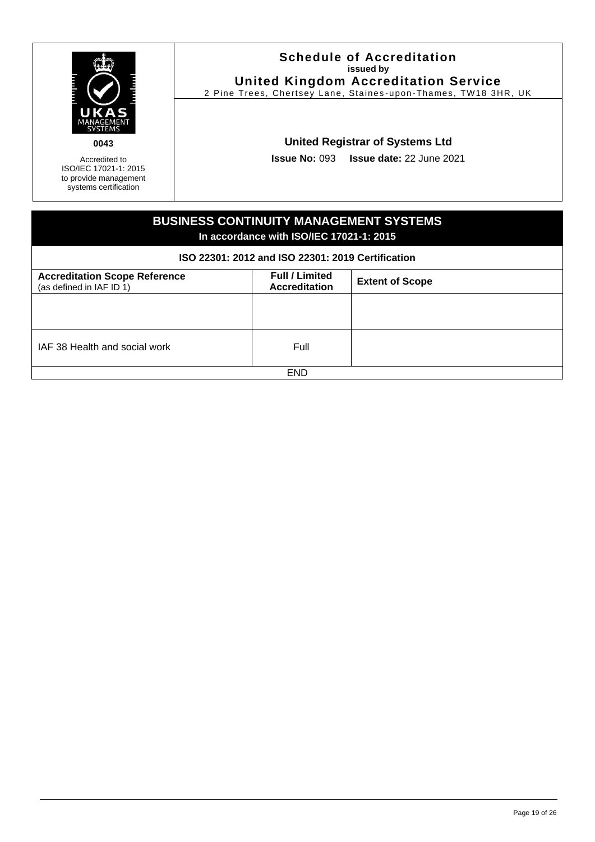| <b>The Second Second</b> |  |
|--------------------------|--|
| ANAGEMENT<br>SYSTEMS     |  |
|                          |  |

Accredited to ISO/IEC 17021-1: 2015 to provide management systems certification

#### **Schedule of Accreditation issued by United Kingdom Accreditation Service**

2 Pine Trees, Chertsey Lane, Staines -upon-Thames, TW18 3HR, UK

# **United Registrar of Systems Ltd**

**Issue No:** 093 **Issue date:** 22 June 2021

| <b>BUSINESS CONTINUITY MANAGEMENT SYSTEMS</b><br>In accordance with ISO/IEC 17021-1: 2015 |                                               |                        |
|-------------------------------------------------------------------------------------------|-----------------------------------------------|------------------------|
| ISO 22301: 2012 and ISO 22301: 2019 Certification                                         |                                               |                        |
| <b>Accreditation Scope Reference</b><br>(as defined in IAF ID 1)                          | <b>Full / Limited</b><br><b>Accreditation</b> | <b>Extent of Scope</b> |
|                                                                                           |                                               |                        |
|                                                                                           |                                               |                        |
| IAF 38 Health and social work                                                             | Full                                          |                        |
| <b>END</b>                                                                                |                                               |                        |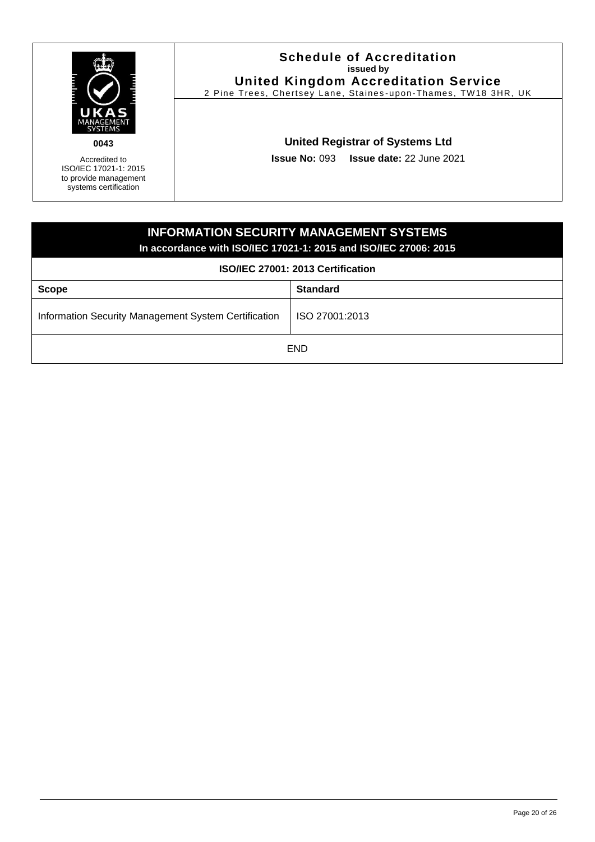

Accredited to ISO/IEC 17021-1: 2015 to provide management systems certification

### **Schedule of Accreditation issued by United Kingdom Accreditation Service**

2 Pine Trees, Chertsey Lane, Staines -upon-Thames, TW18 3HR, UK

# **United Registrar of Systems Ltd**

**Issue No:** 093 **Issue date:** 22 June 2021

<span id="page-19-0"></span>

| <b>INFORMATION SECURITY MANAGEMENT SYSTEMS</b><br>In accordance with ISO/IEC 17021-1: 2015 and ISO/IEC 27006: 2015 |  |  |
|--------------------------------------------------------------------------------------------------------------------|--|--|
| ISO/IEC 27001: 2013 Certification                                                                                  |  |  |
| <b>Standard</b><br><b>Scope</b>                                                                                    |  |  |
| Information Security Management System Certification<br>ISO 27001:2013                                             |  |  |
| <b>END</b>                                                                                                         |  |  |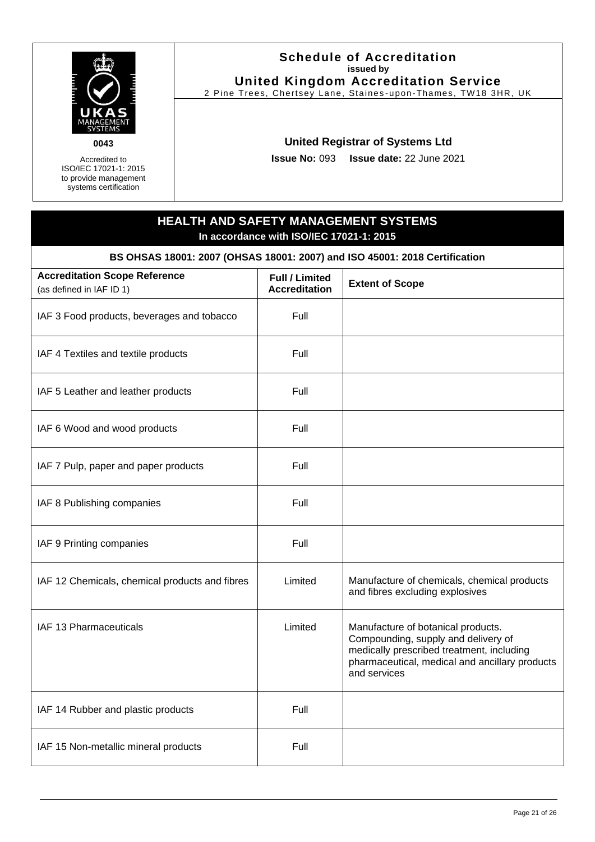

Accredited to ISO/IEC 17021-1: 2015 to provide management systems certification

#### **Schedule of Accreditation issued by United Kingdom Accreditation Service**

2 Pine Trees, Chertsey Lane, Staines -upon-Thames, TW18 3HR, UK

# **United Registrar of Systems Ltd**

**Issue No:** 093 **Issue date:** 22 June 2021

# **HEALTH AND SAFETY MANAGEMENT SYSTEMS In accordance with ISO/IEC 17021-1: 2015**

**BS OHSAS 18001: 2007 (OHSAS 18001: 2007) and ISO 45001: 2018 Certification**

<span id="page-20-0"></span>

| <b>Accreditation Scope Reference</b><br>(as defined in IAF ID 1) | <b>Full / Limited</b><br><b>Accreditation</b> | <b>Extent of Scope</b>                                                                                                                                                                   |
|------------------------------------------------------------------|-----------------------------------------------|------------------------------------------------------------------------------------------------------------------------------------------------------------------------------------------|
| IAF 3 Food products, beverages and tobacco                       | Full                                          |                                                                                                                                                                                          |
| IAF 4 Textiles and textile products                              | Full                                          |                                                                                                                                                                                          |
| IAF 5 Leather and leather products                               | Full                                          |                                                                                                                                                                                          |
| IAF 6 Wood and wood products                                     | Full                                          |                                                                                                                                                                                          |
| IAF 7 Pulp, paper and paper products                             | Full                                          |                                                                                                                                                                                          |
| IAF 8 Publishing companies                                       | Full                                          |                                                                                                                                                                                          |
| IAF 9 Printing companies                                         | Full                                          |                                                                                                                                                                                          |
| IAF 12 Chemicals, chemical products and fibres                   | Limited                                       | Manufacture of chemicals, chemical products<br>and fibres excluding explosives                                                                                                           |
| IAF 13 Pharmaceuticals                                           | Limited                                       | Manufacture of botanical products.<br>Compounding, supply and delivery of<br>medically prescribed treatment, including<br>pharmaceutical, medical and ancillary products<br>and services |
| IAF 14 Rubber and plastic products                               | Full                                          |                                                                                                                                                                                          |
| IAF 15 Non-metallic mineral products                             | Full                                          |                                                                                                                                                                                          |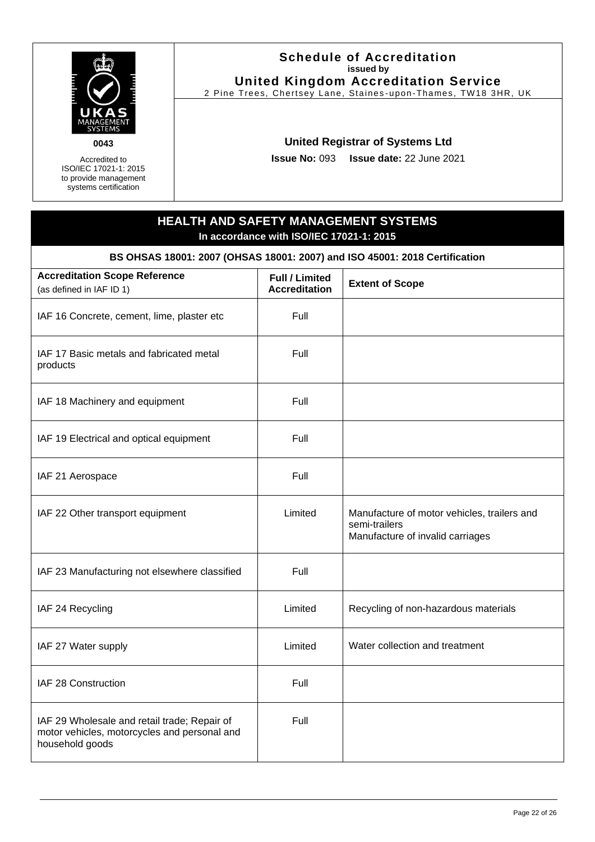

Accredited to ISO/IEC 17021-1: 2015 to provide management systems certification

#### **Schedule of Accreditation issued by United Kingdom Accreditation Service**

2 Pine Trees, Chertsey Lane, Staines -upon-Thames, TW18 3HR, UK

# **United Registrar of Systems Ltd**

**Issue No:** 093 **Issue date:** 22 June 2021

# **HEALTH AND SAFETY MANAGEMENT SYSTEMS In accordance with ISO/IEC 17021-1: 2015**

**BS OHSAS 18001: 2007 (OHSAS 18001: 2007) and ISO 45001: 2018 Certification**

| <b>Accreditation Scope Reference</b><br>(as defined in IAF ID 1)                                                | <b>Full / Limited</b><br><b>Accreditation</b> | <b>Extent of Scope</b>                                                                           |
|-----------------------------------------------------------------------------------------------------------------|-----------------------------------------------|--------------------------------------------------------------------------------------------------|
| IAF 16 Concrete, cement, lime, plaster etc                                                                      | Full                                          |                                                                                                  |
| IAF 17 Basic metals and fabricated metal<br>products                                                            | Full                                          |                                                                                                  |
| IAF 18 Machinery and equipment                                                                                  | Full                                          |                                                                                                  |
| IAF 19 Electrical and optical equipment                                                                         | Full                                          |                                                                                                  |
| IAF 21 Aerospace                                                                                                | Full                                          |                                                                                                  |
| IAF 22 Other transport equipment                                                                                | Limited                                       | Manufacture of motor vehicles, trailers and<br>semi-trailers<br>Manufacture of invalid carriages |
| IAF 23 Manufacturing not elsewhere classified                                                                   | Full                                          |                                                                                                  |
| IAF 24 Recycling                                                                                                | Limited                                       | Recycling of non-hazardous materials                                                             |
| IAF 27 Water supply                                                                                             | Limited                                       | Water collection and treatment                                                                   |
| IAF 28 Construction                                                                                             | Full                                          |                                                                                                  |
| IAF 29 Wholesale and retail trade; Repair of<br>motor vehicles, motorcycles and personal and<br>household goods | Full                                          |                                                                                                  |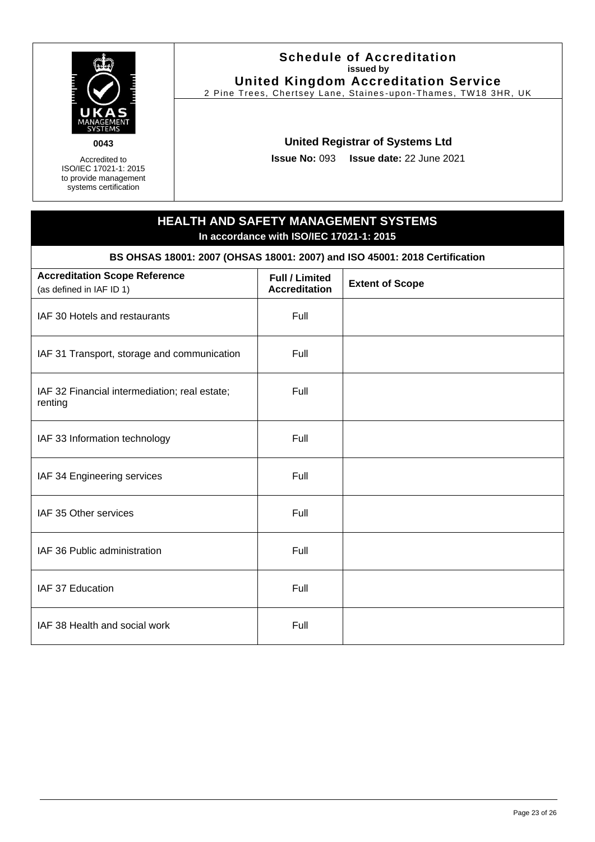

Accredited to ISO/IEC 17021-1: 2015 to provide management systems certification

#### **Schedule of Accreditation issued by United Kingdom Accreditation Service**

2 Pine Trees, Chertsey Lane, Staines -upon-Thames, TW18 3HR, UK

# **United Registrar of Systems Ltd**

**Issue No:** 093 **Issue date:** 22 June 2021

# **HEALTH AND SAFETY MANAGEMENT SYSTEMS In accordance with ISO/IEC 17021-1: 2015**

**BS OHSAS 18001: 2007 (OHSAS 18001: 2007) and ISO 45001: 2018 Certification**

| <b>Accreditation Scope Reference</b><br>(as defined in IAF ID 1) | <b>Full / Limited</b><br><b>Accreditation</b> | <b>Extent of Scope</b> |
|------------------------------------------------------------------|-----------------------------------------------|------------------------|
| IAF 30 Hotels and restaurants                                    | Full                                          |                        |
| IAF 31 Transport, storage and communication                      | Full                                          |                        |
| IAF 32 Financial intermediation; real estate;<br>renting         | Full                                          |                        |
| IAF 33 Information technology                                    | Full                                          |                        |
| IAF 34 Engineering services                                      | Full                                          |                        |
| IAF 35 Other services                                            | Full                                          |                        |
| IAF 36 Public administration                                     | Full                                          |                        |
| IAF 37 Education                                                 | Full                                          |                        |
| IAF 38 Health and social work                                    | Full                                          |                        |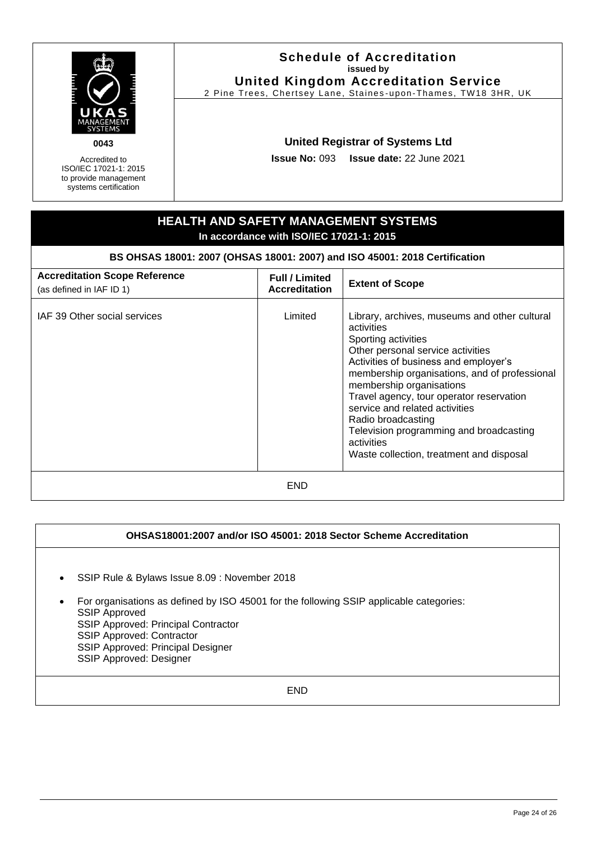| 0043<br>Accredited to<br>ISO/IEC 17021-1: 2015<br>to provide management<br>systems certification | <b>Issue No: 093</b>                                                       | <b>Schedule of Accreditation</b><br>issued by<br><b>United Kingdom Accreditation Service</b><br>2 Pine Trees, Chertsey Lane, Staines-upon-Thames, TW18 3HR, UK<br><b>United Registrar of Systems Ltd</b><br>Issue date: 22 June 2021                                                                                                                                                                                                                   |
|--------------------------------------------------------------------------------------------------|----------------------------------------------------------------------------|--------------------------------------------------------------------------------------------------------------------------------------------------------------------------------------------------------------------------------------------------------------------------------------------------------------------------------------------------------------------------------------------------------------------------------------------------------|
| <b>HEALTH AND SAFETY MANAGEMENT SYSTEMS</b><br>In accordance with ISO/IEC 17021-1: 2015          |                                                                            |                                                                                                                                                                                                                                                                                                                                                                                                                                                        |
|                                                                                                  | BS OHSAS 18001: 2007 (OHSAS 18001: 2007) and ISO 45001: 2018 Certification |                                                                                                                                                                                                                                                                                                                                                                                                                                                        |
| <b>Accreditation Scope Reference</b><br>(as defined in IAF ID 1)                                 | <b>Full / Limited</b><br><b>Accreditation</b>                              | <b>Extent of Scope</b>                                                                                                                                                                                                                                                                                                                                                                                                                                 |
| IAF 39 Other social services                                                                     | Limited                                                                    | Library, archives, museums and other cultural<br>activities<br>Sporting activities<br>Other personal service activities<br>Activities of business and employer's<br>membership organisations, and of professional<br>membership organisations<br>Travel agency, tour operator reservation<br>service and related activities<br>Radio broadcasting<br>Television programming and broadcasting<br>activities<br>Waste collection, treatment and disposal |
| <b>END</b>                                                                                       |                                                                            |                                                                                                                                                                                                                                                                                                                                                                                                                                                        |

# **OHSAS18001:2007 and/or ISO 45001: 2018 Sector Scheme Accreditation**

- SSIP Rule & Bylaws Issue 8.09 : November 2018
- For organisations as defined by ISO 45001 for the following SSIP applicable categories: SSIP Approved SSIP Approved: Principal Contractor SSIP Approved: Contractor SSIP Approved: Principal Designer SSIP Approved: Designer

END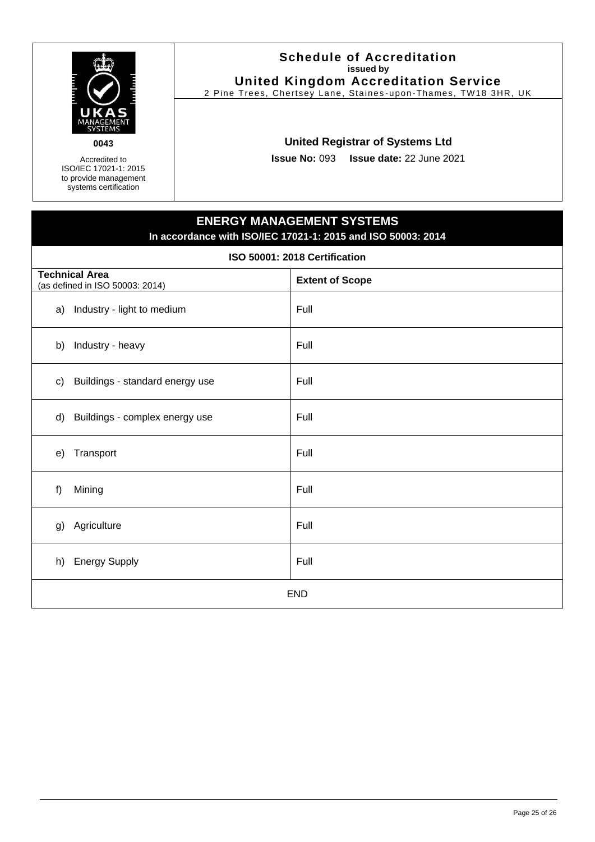

Accredited to ISO/IEC 17021-1: 2015 to provide management systems certification

#### **Schedule of Accreditation issued by United Kingdom Accreditation Service**

2 Pine Trees, Chertsey Lane, Staines -upon-Thames, TW18 3HR, UK

# **United Registrar of Systems Ltd**

**Issue No:** 093 **Issue date:** 22 June 2021

# **ENERGY MANAGEMENT SYSTEMS In accordance with ISO/IEC 17021-1: 2015 and ISO 50003: 2014**

#### **ISO 50001: 2018 Certification**

<span id="page-24-0"></span>

| <b>Technical Area</b><br>(as defined in ISO 50003: 2014) |                                 | <b>Extent of Scope</b> |  |
|----------------------------------------------------------|---------------------------------|------------------------|--|
|                                                          | a) Industry - light to medium   | Full                   |  |
| b)                                                       | Industry - heavy                | Full                   |  |
| c)                                                       | Buildings - standard energy use | Full                   |  |
| d)                                                       | Buildings - complex energy use  | Full                   |  |
| e)                                                       | Transport                       | Full                   |  |
| f                                                        | Mining                          | Full                   |  |
| g)                                                       | Agriculture                     | Full                   |  |
| h)                                                       | <b>Energy Supply</b>            | Full                   |  |
| <b>END</b>                                               |                                 |                        |  |